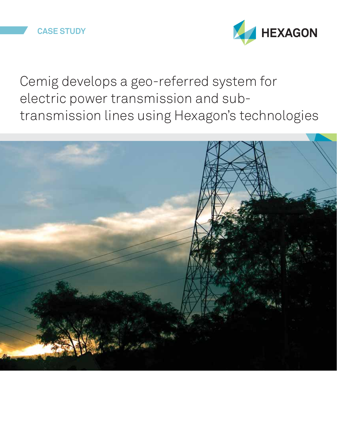## **CASE STUDY**



Cemig develops a geo-referred system for electric power transmission and subtransmission lines using Hexagon's technologies